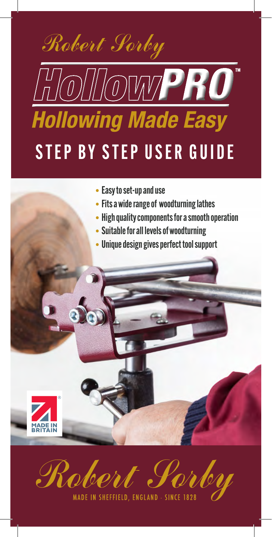Robert Porby



- Easy to set-up and use
- Fits a wide range of woodturning lathes
- High quality components for a smooth operation
- Suitable for all levels of woodturning
- Unique design gives perfect tool support





MADE IN SHEFFIELD, ENGLAND - SINCE 1828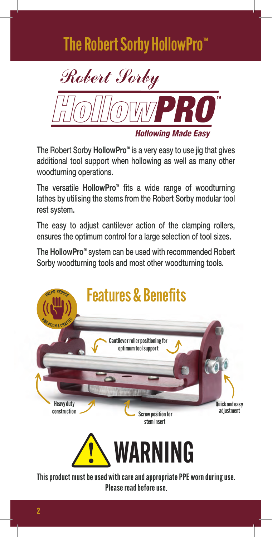### The Robert Sorby HollowPro<sup>™</sup>



**Hollowing Made Easy** 

The Robert Sorby **HollowPro**™ is a very easy to use jig that gives additional tool support when hollowing as well as many other woodturning operations.

The versatile **HollowPro**™ fits a wide range of woodturning lathes by utilising the stems from the Robert Sorby modular tool rest system.

The easy to adjust cantilever action of the clamping rollers, ensures the optimum control for a large selection of tool sizes.

The **HollowPro**™ system can be used with recommended Robert Sorby woodturning tools and most other woodturning tools.



This product must be used with care and appropriate PPE worn during use. Please read before use.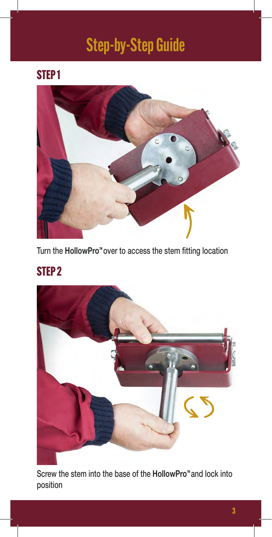## Step-by-Step Guide

#### STEP 1



Turn the **HollowPro**™ over to access the stem fitting location

### STEP 2



Screw the stem into the base of the **HollowPro**™ and lock into position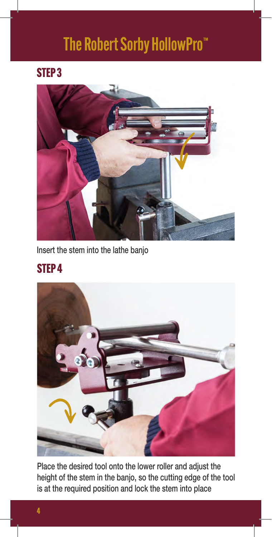### The Robert Sorby HollowPro<sup>™</sup>

#### STEP 3



Insert the stem into the lathe banjo

#### STEP 4



Place the desired tool onto the lower roller and adjust the height of the stem in the banjo, so the cutting edge of the tool is at the required position and lock the stem into place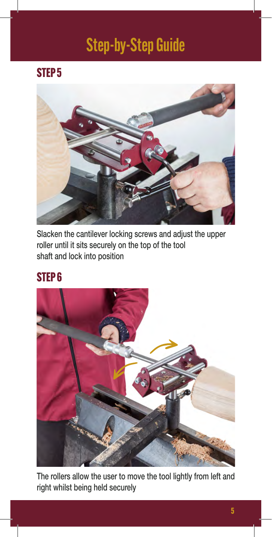## Step-by-Step Guide

### STEP 5



Slacken the cantilever locking screws and adjust the upper roller until it sits securely on the top of the tool shaft and lock into position

#### STEP 6



The rollers allow the user to move the tool lightly from left and right whilst being held securely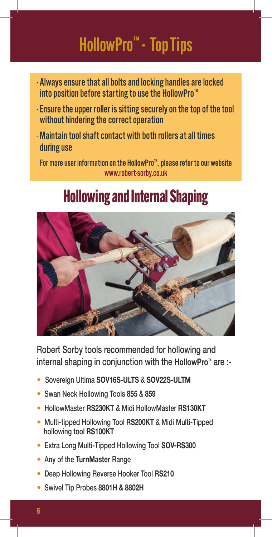# HollowPro™ - Top Tips

- Always ensure that all bolts and locking handles are locked into position before starting to use the HollowPro™
- Ensure the upper roller is sitting securely on the top of the tool without hindering the correct operation
- Maintain tool shaft contact with both rollers at all times during use

For more user information on the HollowPro™, please refer to our website www.robert-sorby.co.uk

### Hollowing and Internal Shaping



Robert Sorby tools recommended for hollowing and internal shaping in conjunction with the **HollowPro**™ are :-

- Sovereign Ultima **SOV16S-ULTS** & **SOV22S-ULTM**
- Swan Neck Hollowing Tools **855** & **859**
- HollowMaster **RS230KT** & Midi HollowMaster **RS130KT**
- Multi-tipped Hollowing Tool **RS200KT** & Midi Multi-Tipped hollowing tool **RS100KT**
- Extra Long Multi-Tipped Hollowing Tool **SOV-RS300**
- Any of the **TurnMaster** Range
- Deep Hollowing Reverse Hooker Tool **RS210**
- Swivel Tip Probes **8801H & 8802H**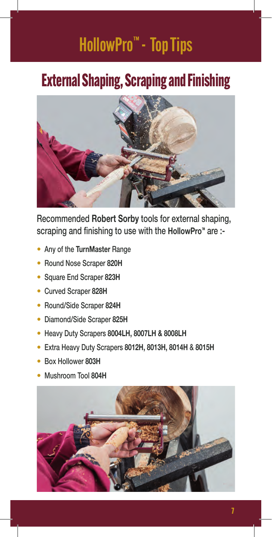# HollowPro™ - Top Tips

### External Shaping, Scraping and Finishing



Recommended **Robert Sorby** tools for external shaping, scraping and finishing to use with the **HollowPro**™ are :-

- Any of the **TurnMaster** Range
- Round Nose Scraper **820H**
- Square End Scraper **823H**
- Curved Scraper **828H**
- Round/Side Scraper **824H**
- Diamond/Side Scraper **825H**
- Heavy Duty Scrapers **8004LH, 8007LH & 8008LH**
- Extra Heavy Duty Scrapers **8012H, 8013H, 8014H** & **8015H**
- Box Hollower **803H**
- Mushroom Tool **804H**